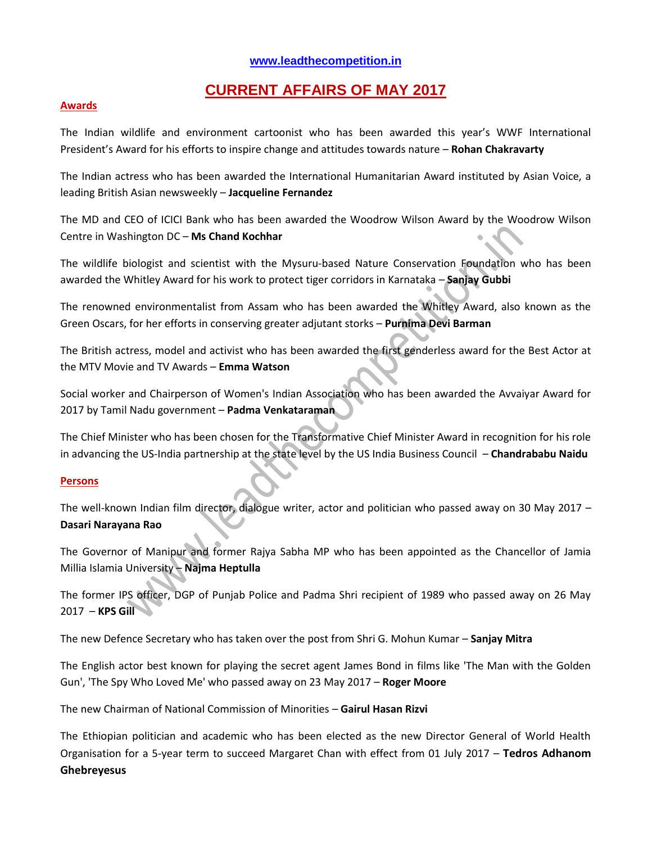## **[www.leadthecompetition.in](http://www.leadthecompetition.in/)**

# **CURRENT AFFAIRS OF MAY 2017**

#### **Awards**

The Indian wildlife and environment cartoonist who has been awarded this year's WWF International President's Award for his efforts to inspire change and attitudes towards nature – **Rohan Chakravarty**

The Indian actress who has been awarded the International Humanitarian Award instituted by Asian Voice, a leading British Asian newsweekly – **Jacqueline Fernandez**

The MD and CEO of ICICI Bank who has been awarded the Woodrow Wilson Award by the Woodrow Wilson Centre in Washington DC – **Ms Chand Kochhar**

The wildlife biologist and scientist with the Mysuru-based Nature Conservation Foundation who has been awarded the Whitley Award for his work to protect tiger corridors in Karnataka – **Sanjay Gubbi**

The renowned environmentalist from Assam who has been awarded the Whitley Award, also known as the Green Oscars, for her efforts in conserving greater adjutant storks – **Purnima Devi Barman**

The British actress, model and activist who has been awarded the first genderless award for the Best Actor at the MTV Movie and TV Awards – **Emma Watson**

Social worker and Chairperson of Women's Indian Association who has been awarded the Avvaiyar Award for 2017 by Tamil Nadu government – **Padma Venkataraman**

The Chief Minister who has been chosen for the Transformative Chief Minister Award in recognition for his role in advancing the US-India partnership at the state level by the US India Business Council – **Chandrababu Naidu**

#### **Persons**

The well-known Indian film director, dialogue writer, actor and politician who passed away on 30 May 2017 – **Dasari Narayana Rao**

The Governor of Manipur and former Rajya Sabha MP who has been appointed as the Chancellor of Jamia Millia Islamia University – **Najma Heptulla**

The former IPS officer, DGP of Punjab Police and Padma Shri recipient of 1989 who passed away on 26 May 2017 – **KPS Gill**

The new Defence Secretary who has taken over the post from Shri G. Mohun Kumar – **Sanjay Mitra**

The English actor best known for playing the secret agent James Bond in films like 'The Man with the Golden Gun', 'The Spy Who Loved Me' who passed away on 23 May 2017 – **Roger Moore**

The new Chairman of National Commission of Minorities – **Gairul Hasan Rizvi**

The Ethiopian politician and academic who has been elected as the new Director General of World Health Organisation for a 5-year term to succeed Margaret Chan with effect from 01 July 2017 – **Tedros Adhanom Ghebreyesus**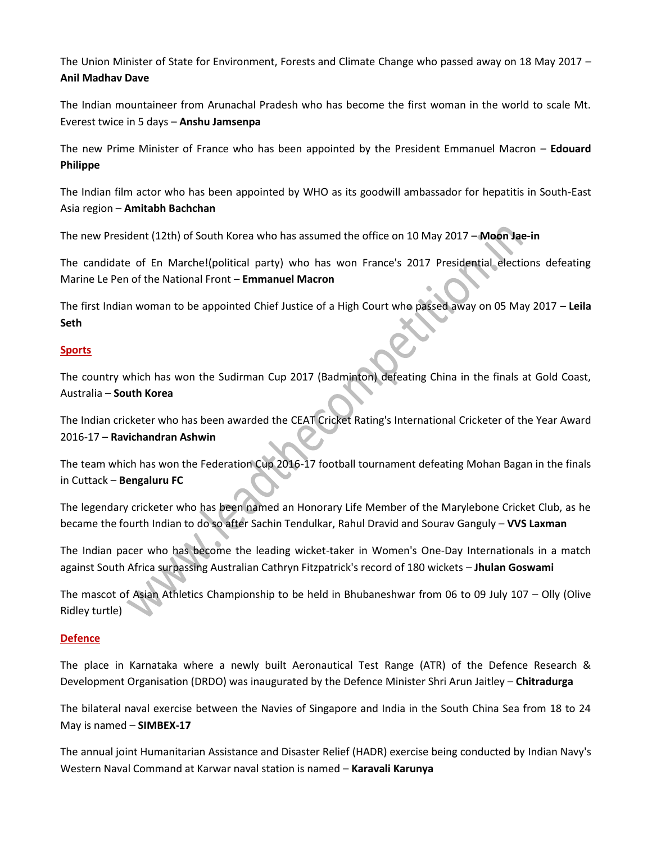The Union Minister of State for Environment, Forests and Climate Change who passed away on 18 May 2017 – **Anil Madhav Dave**

The Indian mountaineer from Arunachal Pradesh who has become the first woman in the world to scale Mt. Everest twice in 5 days – **Anshu Jamsenpa**

The new Prime Minister of France who has been appointed by the President Emmanuel Macron – **Edouard Philippe**

The Indian film actor who has been appointed by WHO as its goodwill ambassador for hepatitis in South-East Asia region – **Amitabh Bachchan**

The new President (12th) of South Korea who has assumed the office on 10 May 2017 – **Moon Jae-in**

The candidate of En Marche!(political party) who has won France's 2017 Presidential elections defeating Marine Le Pen of the National Front – **Emmanuel Macron**

The first Indian woman to be appointed Chief Justice of a High Court who passed away on 05 May 2017 – **Leila Seth**

#### **Sports**

The country which has won the Sudirman Cup 2017 (Badminton) defeating China in the finals at Gold Coast, Australia – **South Korea**

The Indian cricketer who has been awarded the CEAT Cricket Rating's International Cricketer of the Year Award 2016-17 – **Ravichandran Ashwin**

The team which has won the Federation Cup 2016-17 football tournament defeating Mohan Bagan in the finals in Cuttack – **Bengaluru FC**

The legendary cricketer who has been named an Honorary Life Member of the Marylebone Cricket Club, as he became the fourth Indian to do so after Sachin Tendulkar, Rahul Dravid and Sourav Ganguly – **VVS Laxman**

The Indian pacer who has become the leading wicket-taker in Women's One-Day Internationals in a match against South Africa surpassing Australian Cathryn Fitzpatrick's record of 180 wickets – **Jhulan Goswami**

The mascot of Asian Athletics Championship to be held in Bhubaneshwar from 06 to 09 July 107 – Olly (Olive Ridley turtle)

## **Defence**

The place in Karnataka where a newly built Aeronautical Test Range (ATR) of the Defence Research & Development Organisation (DRDO) was inaugurated by the Defence Minister Shri Arun Jaitley – **Chitradurga**

The bilateral naval exercise between the Navies of Singapore and India in the South China Sea from 18 to 24 May is named – **SIMBEX-17**

The annual joint Humanitarian Assistance and Disaster Relief (HADR) exercise being conducted by Indian Navy's Western Naval Command at Karwar naval station is named – **Karavali Karunya**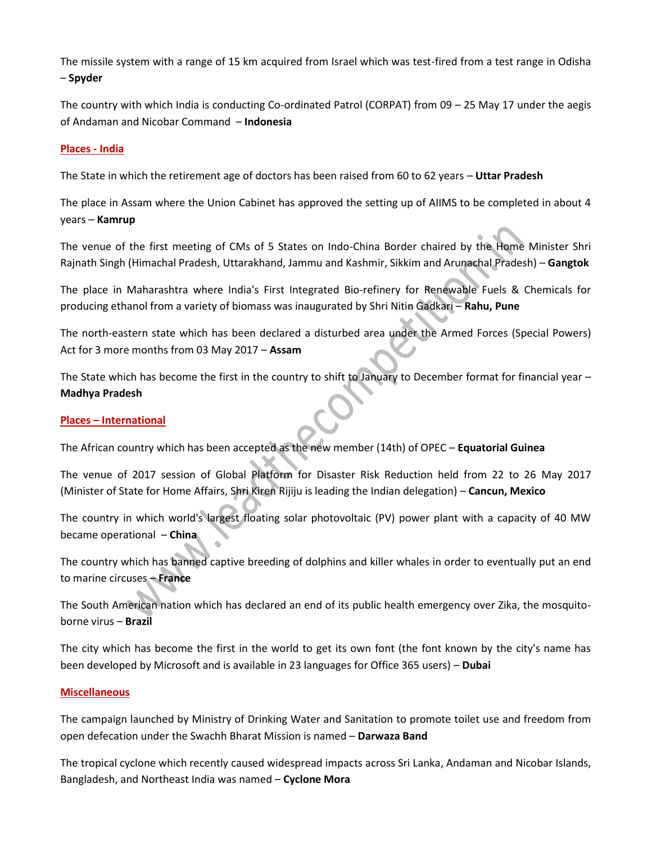The missile system with a range of 15 km acquired from Israel which was test-fired from a test range in Odisha – **Spyder**

The country with which India is conducting Co-ordinated Patrol (CORPAT) from 09 – 25 May 17 under the aegis of Andaman and Nicobar Command – **Indonesia**

#### **Places - India**

The State in which the retirement age of doctors has been raised from 60 to 62 years – **Uttar Pradesh**

The place in Assam where the Union Cabinet has approved the setting up of AIIMS to be completed in about 4 years – **Kamrup**

The venue of the first meeting of CMs of 5 States on Indo-China Border chaired by the Home Minister Shri Rajnath Singh (Himachal Pradesh, Uttarakhand, Jammu and Kashmir, Sikkim and Arunachal Pradesh) – **Gangtok**

The place in Maharashtra where India's First Integrated Bio-refinery for Renewable Fuels & Chemicals for producing ethanol from a variety of biomass was inaugurated by Shri Nitin Gadkari – **Rahu, Pune**

The north-eastern state which has been declared a disturbed area under the Armed Forces (Special Powers) Act for 3 more months from 03 May 2017 – **Assam**

The State which has become the first in the country to shift to January to December format for financial year – **Madhya Pradesh**

#### **Places – International**

The African country which has been accepted as the new member (14th) of OPEC – **Equatorial Guinea**

The venue of 2017 session of Global Platform for Disaster Risk Reduction held from 22 to 26 May 2017 (Minister of State for Home Affairs, Shri Kiren Rijiju is leading the Indian delegation) – **Cancun, Mexico**

The country in which world's largest floating solar photovoltaic (PV) power plant with a capacity of 40 MW became operational – **China**

The country which has banned captive breeding of dolphins and killer whales in order to eventually put an end to marine circuses – **France**

The South American nation which has declared an end of its public health emergency over Zika, the mosquitoborne virus – **Brazil**

The city which has become the first in the world to get its own font (the font known by the city's name has been developed by Microsoft and is available in 23 languages for Office 365 users) – **Dubai**

#### **Miscellaneous**

The campaign launched by Ministry of Drinking Water and Sanitation to promote toilet use and freedom from open defecation under the Swachh Bharat Mission is named – **Darwaza Band**

The tropical cyclone which recently caused widespread impacts across Sri Lanka, Andaman and Nicobar Islands, Bangladesh, and Northeast India was named – **Cyclone Mora**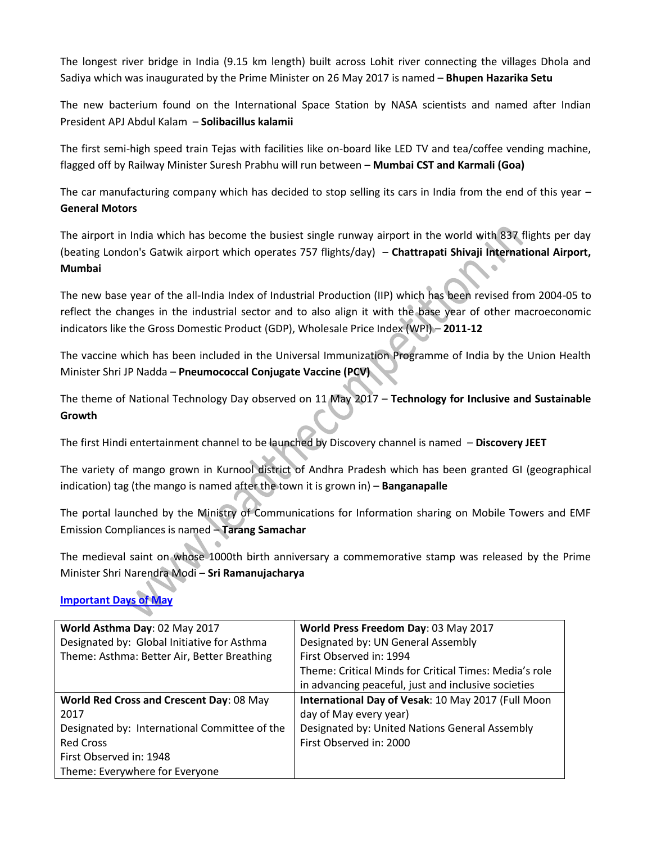The longest river bridge in India (9.15 km length) built across Lohit river connecting the villages Dhola and Sadiya which was inaugurated by the Prime Minister on 26 May 2017 is named – **Bhupen Hazarika Setu**

The new bacterium found on the International Space Station by NASA scientists and named after Indian President APJ Abdul Kalam – **Solibacillus kalamii**

The first semi-high speed train Tejas with facilities like on-board like LED TV and tea/coffee vending machine, flagged off by Railway Minister Suresh Prabhu will run between – **Mumbai CST and Karmali (Goa)**

The car manufacturing company which has decided to stop selling its cars in India from the end of this year – **General Motors**

The airport in India which has become the busiest single runway airport in the world with 837 flights per day (beating London's Gatwik airport which operates 757 flights/day) – **Chattrapati Shivaji International Airport, Mumbai**

The new base year of the all-India Index of Industrial Production (IIP) which has been revised from 2004-05 to reflect the changes in the industrial sector and to also align it with the base year of other macroeconomic indicators like the Gross Domestic Product (GDP), Wholesale Price Index (WPI) – **2011-12**

The vaccine which has been included in the Universal Immunization Programme of India by the Union Health Minister Shri JP Nadda – **Pneumococcal Conjugate Vaccine (PCV)**

The theme of National Technology Day observed on 11 May 2017 – **Technology for Inclusive and Sustainable Growth**

The first Hindi entertainment channel to be launched by Discovery channel is named – **Discovery JEET**

The variety of mango grown in Kurnool district of Andhra Pradesh which has been granted GI (geographical indication) tag (the mango is named after the town it is grown in) – **Banganapalle**

The portal launched by the Ministry of Communications for Information sharing on Mobile Towers and EMF Emission Compliances is named – **Tarang Samachar**

The medieval saint on whose 1000th birth anniversary a commemorative stamp was released by the Prime Minister Shri Narendra Modi – **Sri Ramanujacharya**

**Important Days of May**

| World Asthma Day: 02 May 2017                 | World Press Freedom Day: 03 May 2017                   |
|-----------------------------------------------|--------------------------------------------------------|
| Designated by: Global Initiative for Asthma   | Designated by: UN General Assembly                     |
| Theme: Asthma: Better Air, Better Breathing   | First Observed in: 1994                                |
|                                               | Theme: Critical Minds for Critical Times: Media's role |
|                                               | in advancing peaceful, just and inclusive societies    |
| World Red Cross and Crescent Day: 08 May      | International Day of Vesak: 10 May 2017 (Full Moon     |
| 2017                                          | day of May every year)                                 |
| Designated by: International Committee of the | Designated by: United Nations General Assembly         |
| <b>Red Cross</b>                              | First Observed in: 2000                                |
| First Observed in: 1948                       |                                                        |
| Theme: Everywhere for Everyone                |                                                        |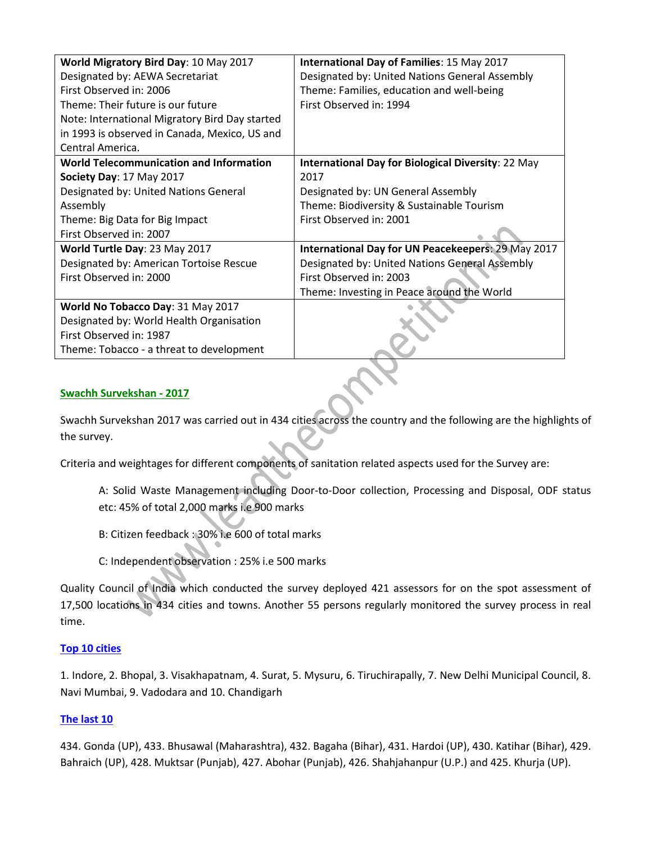| World Migratory Bird Day: 10 May 2017          | International Day of Families: 15 May 2017                |
|------------------------------------------------|-----------------------------------------------------------|
| Designated by: AEWA Secretariat                | Designated by: United Nations General Assembly            |
| First Observed in: 2006                        | Theme: Families, education and well-being                 |
| Theme: Their future is our future              | First Observed in: 1994                                   |
| Note: International Migratory Bird Day started |                                                           |
| in 1993 is observed in Canada, Mexico, US and  |                                                           |
| Central America.                               |                                                           |
| <b>World Telecommunication and Information</b> | <b>International Day for Biological Diversity: 22 May</b> |
| Society Day: 17 May 2017                       | 2017                                                      |
| Designated by: United Nations General          | Designated by: UN General Assembly                        |
| Assembly                                       | Theme: Biodiversity & Sustainable Tourism                 |
| Theme: Big Data for Big Impact                 | First Observed in: 2001                                   |
| First Observed in: 2007                        |                                                           |
| World Turtle Day: 23 May 2017                  | International Day for UN Peacekeepers: 29 May 2017        |
| Designated by: American Tortoise Rescue        | Designated by: United Nations General Assembly            |
| First Observed in: 2000                        | First Observed in: 2003                                   |
|                                                | Theme: Investing in Peace around the World                |
| World No Tobacco Day: 31 May 2017              |                                                           |
| Designated by: World Health Organisation       |                                                           |
| First Observed in: 1987                        |                                                           |
| Theme: Tobacco - a threat to development       |                                                           |

#### **Swachh Survekshan - 2017**

Swachh Survekshan 2017 was carried out in 434 cities across the country and the following are the highlights of the survey.

Criteria and weightages for different components of sanitation related aspects used for the Survey are:

A: Solid Waste Management including Door-to-Door collection, Processing and Disposal, ODF status etc: 45% of total 2,000 marks i.e 900 marks

B: Citizen feedback : 30% i.e 600 of total marks

C: Independent observation : 25% i.e 500 marks

Quality Council of India which conducted the survey deployed 421 assessors for on the spot assessment of 17,500 locations in 434 cities and towns. Another 55 persons regularly monitored the survey process in real time.

#### **Top 10 cities**

1. Indore, 2. Bhopal, 3. Visakhapatnam, 4. Surat, 5. Mysuru, 6. Tiruchirapally, 7. New Delhi Municipal Council, 8. Navi Mumbai, 9. Vadodara and 10. Chandigarh

#### **The last 10**

434. Gonda (UP), 433. Bhusawal (Maharashtra), 432. Bagaha (Bihar), 431. Hardoi (UP), 430. Katihar (Bihar), 429. Bahraich (UP), 428. Muktsar (Punjab), 427. Abohar (Punjab), 426. Shahjahanpur (U.P.) and 425. Khurja (UP).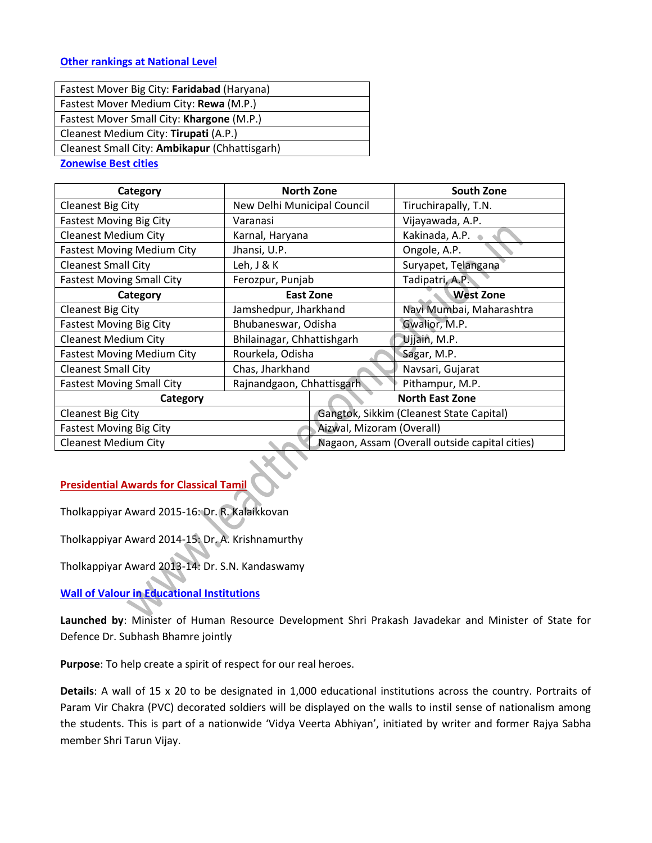#### **Other rankings at National Level**

| Fastest Mover Big City: Faridabad (Haryana)   |
|-----------------------------------------------|
| Fastest Mover Medium City: Rewa (M.P.)        |
| Fastest Mover Small City: Khargone (M.P.)     |
| Cleanest Medium City: Tirupati (A.P.)         |
| Cleanest Small City: Ambikapur (Chhattisgarh) |
| <b>Zonewise Best cities</b>                   |

| Category                          | <b>North Zone</b>           |  | <b>South Zone</b>                              |
|-----------------------------------|-----------------------------|--|------------------------------------------------|
| <b>Cleanest Big City</b>          | New Delhi Municipal Council |  | Tiruchirapally, T.N.                           |
| <b>Fastest Moving Big City</b>    | Varanasi                    |  | Vijayawada, A.P.                               |
| <b>Cleanest Medium City</b>       | Karnal, Haryana             |  | Kakinada, A.P.                                 |
| <b>Fastest Moving Medium City</b> | Jhansi, U.P.                |  | Ongole, A.P.                                   |
| <b>Cleanest Small City</b>        | Leh, J & K                  |  | Suryapet, Telangana                            |
| <b>Fastest Moving Small City</b>  | Ferozpur, Punjab            |  | Tadipatri, A.P.                                |
| Category                          | East Zone                   |  | <b>West Zone</b>                               |
| <b>Cleanest Big City</b>          | Jamshedpur, Jharkhand       |  | Navi Mumbai, Maharashtra                       |
| <b>Fastest Moving Big City</b>    | Bhubaneswar, Odisha         |  | Gwalior, M.P.                                  |
| <b>Cleanest Medium City</b>       | Bhilainagar, Chhattishgarh  |  | Ujjain, M.P.                                   |
| <b>Fastest Moving Medium City</b> | Rourkela, Odisha            |  | Sagar, M.P.                                    |
| <b>Cleanest Small City</b>        | Chas, Jharkhand             |  | Navsari, Gujarat                               |
| <b>Fastest Moving Small City</b>  | Rajnandgaon, Chhattisgarh   |  | Pithampur, M.P.                                |
| Category                          |                             |  | <b>North East Zone</b>                         |
| <b>Cleanest Big City</b>          |                             |  | Gangtok, Sikkim (Cleanest State Capital)       |
| <b>Fastest Moving Big City</b>    | Aizwal, Mizoram (Overall)   |  |                                                |
| <b>Cleanest Medium City</b>       |                             |  | Nagaon, Assam (Overall outside capital cities) |

#### **Presidential Awards for Classical Tamil**

Tholkappiyar Award 2015-16: Dr. R. Kalaikkovan

Tholkappiyar Award 2014-15: Dr. A. Krishnamurthy

Tholkappiyar Award 2013-14: Dr. S.N. Kandaswamy

## **Wall of Valour in Educational Institutions**

**Launched by**: Minister of Human Resource Development Shri Prakash Javadekar and Minister of State for Defence Dr. Subhash Bhamre jointly

**Purpose**: To help create a spirit of respect for our real heroes.

**Details**: A wall of 15 x 20 to be designated in 1,000 educational institutions across the country. Portraits of Param Vir Chakra (PVC) decorated soldiers will be displayed on the walls to instil sense of nationalism among the students. This is part of a nationwide 'Vidya Veerta Abhiyan', initiated by writer and former Rajya Sabha member Shri Tarun Vijay.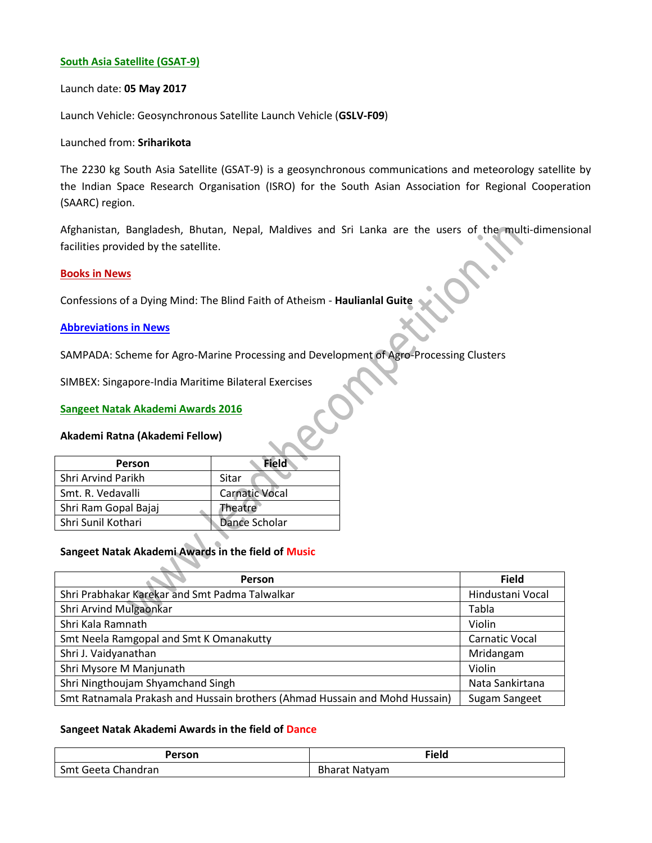#### **South Asia Satellite (GSAT-9)**

#### Launch date: **05 May 2017**

Launch Vehicle: Geosynchronous Satellite Launch Vehicle (**GSLV-F09**)

#### Launched from: **Sriharikota**

The 2230 kg South Asia Satellite (GSAT-9) is a geosynchronous communications and meteorology satellite by the Indian Space Research Organisation (ISRO) for the South Asian Association for Regional Cooperation (SAARC) region.

Afghanistan, Bangladesh, Bhutan, Nepal, Maldives and Sri Lanka are the users of the multi-dimensional facilities provided by the satellite.

#### **Books in News**

Confessions of a Dying Mind: The Blind Faith of Atheism - **Haulianlal Guite**

#### **Abbreviations in News**

SAMPADA: Scheme for Agro-Marine Processing and Development of Agro-Processing Clusters

SIMBEX: Singapore-India Maritime Bilateral Exercises

#### **Sangeet Natak Akademi Awards 2016**

#### **Akademi Ratna (Akademi Fellow)**

| Person               | Field                 |
|----------------------|-----------------------|
| Shri Arvind Parikh   | Sitar                 |
| Smt. R. Vedavalli    | <b>Carnatic Vocal</b> |
| Shri Ram Gopal Bajaj | Theatre               |
| Shri Sunil Kothari   | Dance Scholar         |
|                      |                       |

#### **Sangeet Natak Akademi Awards in the field of Music**

| <b>Person</b>                                                               | <b>Field</b>          |
|-----------------------------------------------------------------------------|-----------------------|
| Shri Prabhakar Karekar and Smt Padma Talwalkar                              | Hindustani Vocal      |
| Shri Arvind Mulgaonkar                                                      | Tabla                 |
| Shri Kala Ramnath                                                           | Violin                |
| Smt Neela Ramgopal and Smt K Omanakutty                                     | <b>Carnatic Vocal</b> |
| Shri J. Vaidyanathan                                                        | Mridangam             |
| Shri Mysore M Manjunath                                                     | Violin                |
| Shri Ningthoujam Shyamchand Singh                                           | Nata Sankirtana       |
| Smt Ratnamala Prakash and Hussain brothers (Ahmad Hussain and Mohd Hussain) | Sugam Sangeet         |

#### **Sangeet Natak Akademi Awards in the field of Dance**

| Person             | <b>Field</b>         |
|--------------------|----------------------|
| Smt Geeta Chandran | <b>Bharat Natyam</b> |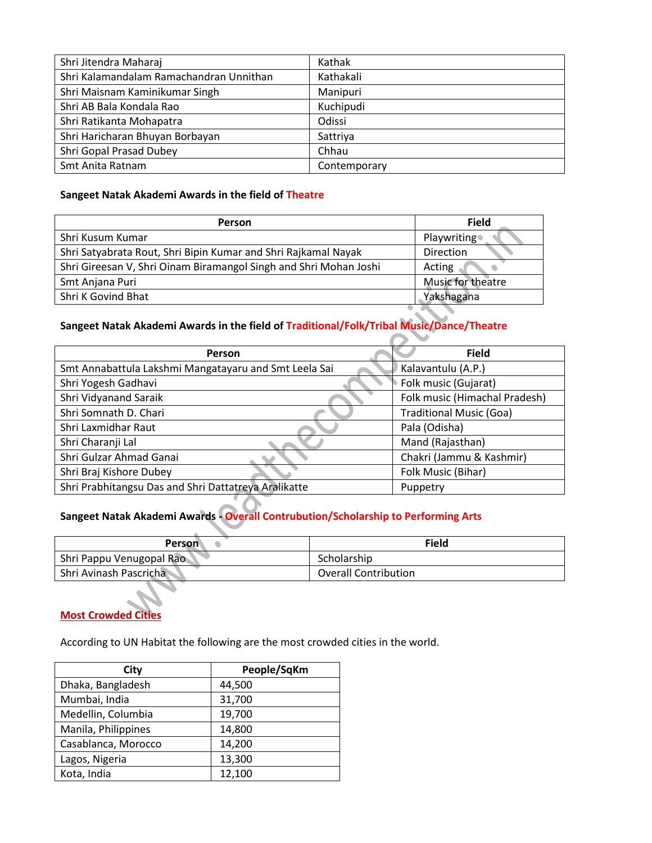| Shri Jitendra Maharaj                   | Kathak       |
|-----------------------------------------|--------------|
| Shri Kalamandalam Ramachandran Unnithan | Kathakali    |
| Shri Maisnam Kaminikumar Singh          | Manipuri     |
| Shri AB Bala Kondala Rao                | Kuchipudi    |
| Shri Ratikanta Mohapatra                | Odissi       |
| Shri Haricharan Bhuyan Borbayan         | Sattriya     |
| Shri Gopal Prasad Dubey                 | Chhau        |
| Smt Anita Ratnam                        | Contemporary |

## **Sangeet Natak Akademi Awards in the field of Theatre**

| Person                                                            | <b>Field</b>       |
|-------------------------------------------------------------------|--------------------|
| Shri Kusum Kumar                                                  | <b>Playwriting</b> |
| Shri Satyabrata Rout, Shri Bipin Kumar and Shri Rajkamal Nayak    | <b>Direction</b>   |
| Shri Gireesan V, Shri Oinam Biramangol Singh and Shri Mohan Joshi | Acting             |
| Smt Anjana Puri                                                   | Music for theatre  |
| Shri K Govind Bhat                                                | Yakshagana         |

## **Sangeet Natak Akademi Awards in the field of Traditional/Folk/Tribal Music/Dance/Theatre**

| <b>Person</b>                                         | <b>Field</b>                   |
|-------------------------------------------------------|--------------------------------|
| Smt Annabattula Lakshmi Mangatayaru and Smt Leela Sai | Kalavantulu (A.P.)             |
| Shri Yogesh Gadhavi                                   | Folk music (Gujarat)           |
| Shri Vidyanand Saraik                                 | Folk music (Himachal Pradesh)  |
| Shri Somnath D. Chari                                 | <b>Traditional Music (Goa)</b> |
| Shri Laxmidhar Raut                                   | Pala (Odisha)                  |
| Shri Charanji Lal                                     | Mand (Rajasthan)               |
| Shri Gulzar Ahmad Ganai                               | Chakri (Jammu & Kashmir)       |
| Shri Braj Kishore Dubey                               | Folk Music (Bihar)             |
| Shri Prabhitangsu Das and Shri Dattatreya Aralikatte  | Puppetry                       |

# **Sangeet Natak Akademi Awards - Overall Contrubution/Scholarship to Performing Arts**

| <b>Person</b>            | <b>Field</b>                |
|--------------------------|-----------------------------|
| Shri Pappu Venugopal Rao | Scholarship                 |
| Shri Avinash Pascricha   | <b>Overall Contribution</b> |

## **Most Crowded Cities**

According to UN Habitat the following are the most crowded cities in the world.

| City                | People/SqKm |
|---------------------|-------------|
| Dhaka, Bangladesh   | 44,500      |
| Mumbai, India       | 31,700      |
| Medellin, Columbia  | 19,700      |
| Manila, Philippines | 14,800      |
| Casablanca, Morocco | 14,200      |
| Lagos, Nigeria      | 13,300      |
| Kota, India         | 12,100      |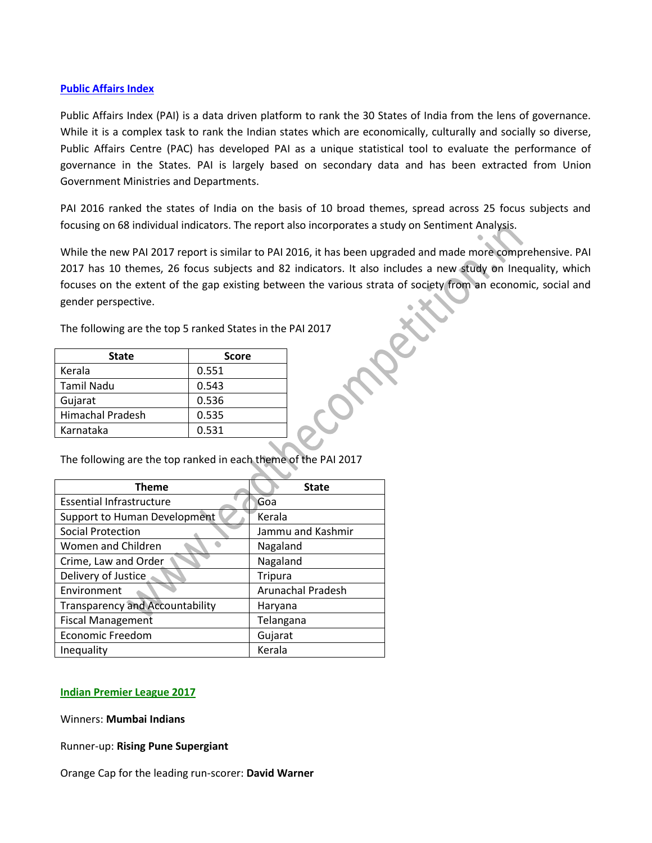#### **Public Affairs Index**

Public Affairs Index (PAI) is a data driven platform to rank the 30 States of India from the lens of governance. While it is a complex task to rank the Indian states which are economically, culturally and socially so diverse, Public Affairs Centre (PAC) has developed PAI as a unique statistical tool to evaluate the performance of governance in the States. PAI is largely based on secondary data and has been extracted from Union Government Ministries and Departments.

PAI 2016 ranked the states of India on the basis of 10 broad themes, spread across 25 focus subjects and focusing on 68 individual indicators. The report also incorporates a study on Sentiment Analysis.

While the new PAI 2017 report is similar to PAI 2016, it has been upgraded and made more comprehensive. PAI 2017 has 10 themes, 26 focus subjects and 82 indicators. It also includes a new study on Inequality, which focuses on the extent of the gap existing between the various strata of society from an economic, social and gender perspective.

The following are the top 5 ranked States in the PAI 2017

| <b>State</b>     | <b>Score</b> |
|------------------|--------------|
| Kerala           | 0.551        |
| Tamil Nadu       | 0.543        |
| Gujarat          | 0.536        |
| Himachal Pradesh | 0.535        |
| Karnataka        | 0.531        |

The following are the top ranked in each theme of the PAI 2017

| <b>Theme</b>                           | <b>State</b>      |  |
|----------------------------------------|-------------------|--|
| <b>Essential Infrastructure</b>        | Goa               |  |
| Support to Human Development           | Kerala            |  |
| <b>Social Protection</b>               | Jammu and Kashmir |  |
| Women and Children                     | Nagaland          |  |
| Crime, Law and Order                   | Nagaland          |  |
| Delivery of Justice                    | <b>Tripura</b>    |  |
| Environment                            | Arunachal Pradesh |  |
| <b>Transparency and Accountability</b> | Haryana           |  |
| <b>Fiscal Management</b>               | Telangana         |  |
| <b>Economic Freedom</b>                | Gujarat           |  |
| Inequality                             | Kerala            |  |

#### **Indian Premier League 2017**

Winners: **Mumbai Indians**

Runner-up: **Rising Pune Supergiant**

Orange Cap for the leading run-scorer: **David Warner**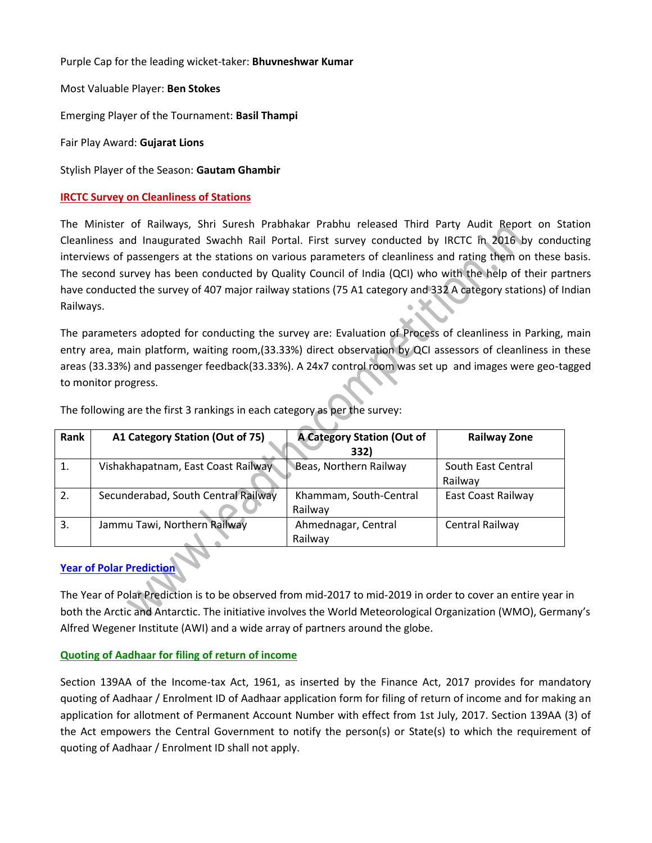Purple Cap for the leading wicket-taker: **Bhuvneshwar Kumar**

Most Valuable Player: **Ben Stokes**

Emerging Player of the Tournament: **Basil Thampi**

Fair Play Award: **Gujarat Lions**

Stylish Player of the Season: **Gautam Ghambir**

#### **IRCTC Survey on Cleanliness of Stations**

The Minister of Railways, Shri Suresh Prabhakar Prabhu released Third Party Audit Report on Station Cleanliness and Inaugurated Swachh Rail Portal. First survey conducted by IRCTC in 2016 by conducting interviews of passengers at the stations on various parameters of cleanliness and rating them on these basis. The second survey has been conducted by Quality Council of India (QCI) who with the help of their partners have conducted the survey of 407 major railway stations (75 A1 category and 332 A category stations) of Indian Railways.

The parameters adopted for conducting the survey are: Evaluation of Process of cleanliness in Parking, main entry area, main platform, waiting room,(33.33%) direct observation by QCI assessors of cleanliness in these areas (33.33%) and passenger feedback(33.33%). A 24x7 control room was set up and images were geo-tagged to monitor progress.

| Rank | A1 Category Station (Out of 75)     | <b>A Category Station (Out of</b><br>332) | <b>Railway Zone</b> |
|------|-------------------------------------|-------------------------------------------|---------------------|
| 1.   | Vishakhapatnam, East Coast Railway  | Beas, Northern Railway                    | South East Central  |
|      |                                     |                                           | Railway             |
| 2.   | Secunderabad, South Central Railway | Khammam, South-Central                    | East Coast Railway  |
|      |                                     | Railway                                   |                     |
| 3.   | Jammu Tawi, Northern Railway        | Ahmednagar, Central                       | Central Railway     |
|      |                                     | Railway                                   |                     |

The following are the first 3 rankings in each category as per the survey:

## **Year of Polar Prediction**

The Year of Polar Prediction is to be observed from mid-2017 to mid-2019 in order to cover an entire year in both the Arctic and Antarctic. The initiative involves the World Meteorological Organization (WMO), Germany's Alfred Wegener Institute (AWI) and a wide array of partners around the globe.

## **Quoting of Aadhaar for filing of return of income**

Section 139AA of the Income-tax Act, 1961, as inserted by the Finance Act, 2017 provides for mandatory quoting of Aadhaar / Enrolment ID of Aadhaar application form for filing of return of income and for making an application for allotment of Permanent Account Number with effect from 1st July, 2017. Section 139AA (3) of the Act empowers the Central Government to notify the person(s) or State(s) to which the requirement of quoting of Aadhaar / Enrolment ID shall not apply.